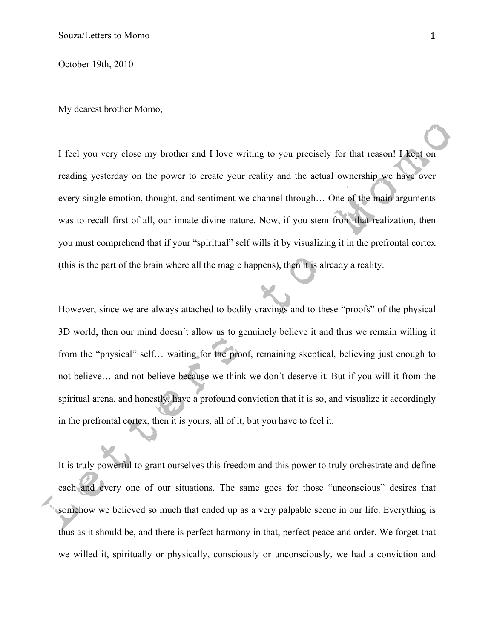October 19th, 2010

My dearest brother Momo,

I feel you very close my brother and I love writing to you precisely for that reason! I kept on reading yesterday on the power to create your reality and the actual ownership we have over every single emotion, thought, and sentiment we channel through… One of the main arguments was to recall first of all, our innate divine nature. Now, if you stem from that realization, then you must comprehend that if your "spiritual" self wills it by visualizing it in the prefrontal cortex (this is the part of the brain where all the magic happens), then it is already a reality.

However, since we are always attached to bodily cravings and to these "proofs" of the physical 3D world, then our mind doesn´t allow us to genuinely believe it and thus we remain willing it from the "physical" self… waiting for the proof, remaining skeptical, believing just enough to not believe… and not believe because we think we don´t deserve it. But if you will it from the spiritual arena, and honestly, have a profound conviction that it is so, and visualize it accordingly in the prefrontal cortex, then it is yours, all of it, but you have to feel it.

It is truly powerful to grant ourselves this freedom and this power to truly orchestrate and define each and every one of our situations. The same goes for those "unconscious" desires that somehow we believed so much that ended up as a very palpable scene in our life. Everything is thus as it should be, and there is perfect harmony in that, perfect peace and order. We forget that we willed it, spiritually or physically, consciously or unconsciously, we had a conviction and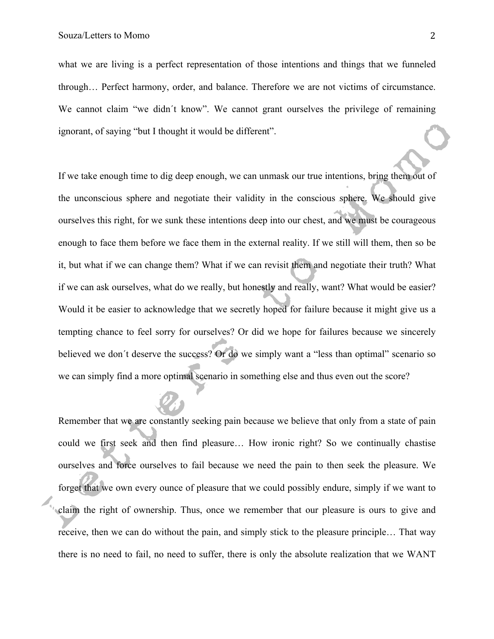what we are living is a perfect representation of those intentions and things that we funneled through… Perfect harmony, order, and balance. Therefore we are not victims of circumstance. We cannot claim "we didn't know". We cannot grant ourselves the privilege of remaining ignorant, of saying "but I thought it would be different".

If we take enough time to dig deep enough, we can unmask our true intentions, bring them out of the unconscious sphere and negotiate their validity in the conscious sphere. We should give ourselves this right, for we sunk these intentions deep into our chest, and we must be courageous enough to face them before we face them in the external reality. If we still will them, then so be it, but what if we can change them? What if we can revisit them and negotiate their truth? What if we can ask ourselves, what do we really, but honestly and really, want? What would be easier? Would it be easier to acknowledge that we secretly hoped for failure because it might give us a tempting chance to feel sorry for ourselves? Or did we hope for failures because we sincerely believed we don't deserve the success? Or do we simply want a "less than optimal" scenario so we can simply find a more optimal scenario in something else and thus even out the score?

Remember that we are constantly seeking pain because we believe that only from a state of pain could we first seek and then find pleasure… How ironic right? So we continually chastise ourselves and force ourselves to fail because we need the pain to then seek the pleasure. We forget that we own every ounce of pleasure that we could possibly endure, simply if we want to claim the right of ownership. Thus, once we remember that our pleasure is ours to give and receive, then we can do without the pain, and simply stick to the pleasure principle… That way there is no need to fail, no need to suffer, there is only the absolute realization that we WANT